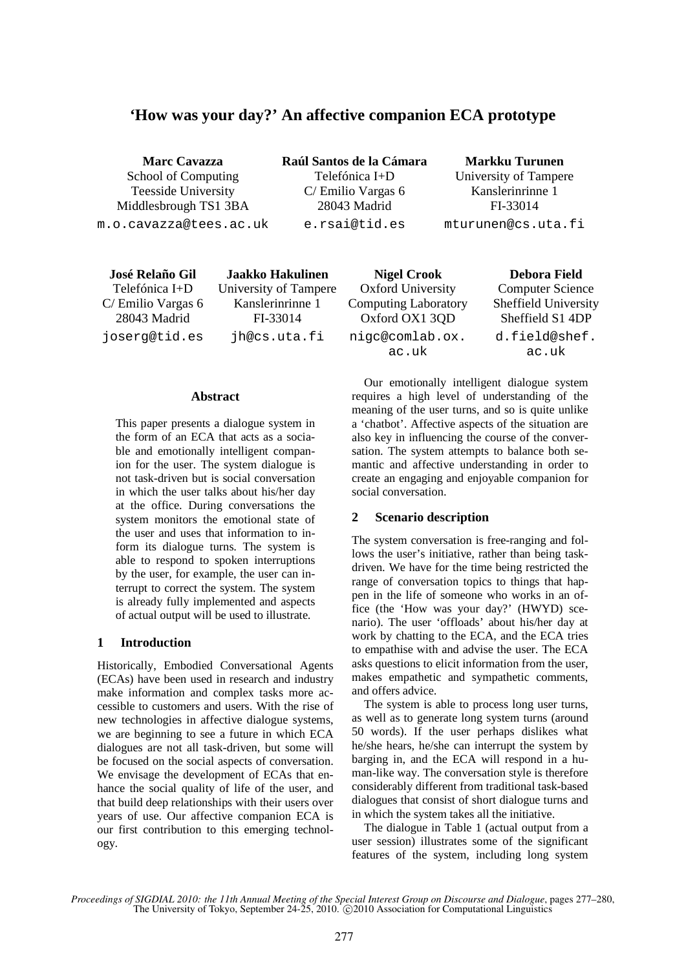# **'How was your day?' An affective companion ECA prototype**

**Marc Cavazza**  School of Computing Teesside University Middlesbrough TS1 3BA m.o.cavazza@tees.ac.uk **Raúl Santos de la Cámara**  Telefónica I+D C/ Emilio Vargas 6 28043 Madrid e.rsai@tid.es

**Markku Turunen**  University of Tampere Kanslerinrinne 1 FI-33014 mturunen@cs.uta.fi

**José Relaño Gil**  Telefónica I+D C/ Emilio Vargas 6 28043 Madrid joserg@tid.es

**Jaakko Hakulinen**  University of Tampere Kanslerinrinne 1 FI-33014 jh@cs.uta.fi

**Nigel Crook**  Oxford University Computing Laboratory Oxford OX1 3QD nigc@comlab.ox. ac.uk

**Debora Field**  Computer Science Sheffield University Sheffield S1 4DP d.field@shef. ac.uk

#### **Abstract**

This paper presents a dialogue system in the form of an ECA that acts as a sociable and emotionally intelligent companion for the user. The system dialogue is not task-driven but is social conversation in which the user talks about his/her day at the office. During conversations the system monitors the emotional state of the user and uses that information to inform its dialogue turns. The system is able to respond to spoken interruptions by the user, for example, the user can interrupt to correct the system. The system is already fully implemented and aspects of actual output will be used to illustrate.

## **1 Introduction**

Historically, Embodied Conversational Agents (ECAs) have been used in research and industry make information and complex tasks more accessible to customers and users. With the rise of new technologies in affective dialogue systems, we are beginning to see a future in which ECA dialogues are not all task-driven, but some will be focused on the social aspects of conversation. We envisage the development of ECAs that enhance the social quality of life of the user, and that build deep relationships with their users over years of use. Our affective companion ECA is our first contribution to this emerging technology.

Our emotionally intelligent dialogue system requires a high level of understanding of the meaning of the user turns, and so is quite unlike a 'chatbot'. Affective aspects of the situation are also key in influencing the course of the conversation. The system attempts to balance both semantic and affective understanding in order to create an engaging and enjoyable companion for social conversation.

## **2 Scenario description**

The system conversation is free-ranging and follows the user's initiative, rather than being taskdriven. We have for the time being restricted the range of conversation topics to things that happen in the life of someone who works in an office (the 'How was your day?' (HWYD) scenario). The user 'offloads' about his/her day at work by chatting to the ECA, and the ECA tries to empathise with and advise the user. The ECA asks questions to elicit information from the user, makes empathetic and sympathetic comments, and offers advice.

The system is able to process long user turns, as well as to generate long system turns (around 50 words). If the user perhaps dislikes what he/she hears, he/she can interrupt the system by barging in, and the ECA will respond in a human-like way. The conversation style is therefore considerably different from traditional task-based dialogues that consist of short dialogue turns and in which the system takes all the initiative.

The dialogue in Table 1 (actual output from a user session) illustrates some of the significant features of the system, including long system

*Proceedings of SIGDIAL 2010: the 11th Annual Meeting of the Special Interest Group on Discourse and Dialogue*, pages 277–280, The University of Tokyo, September 24-25, 2010.  $\odot$  2010 Association for Computational Linguistics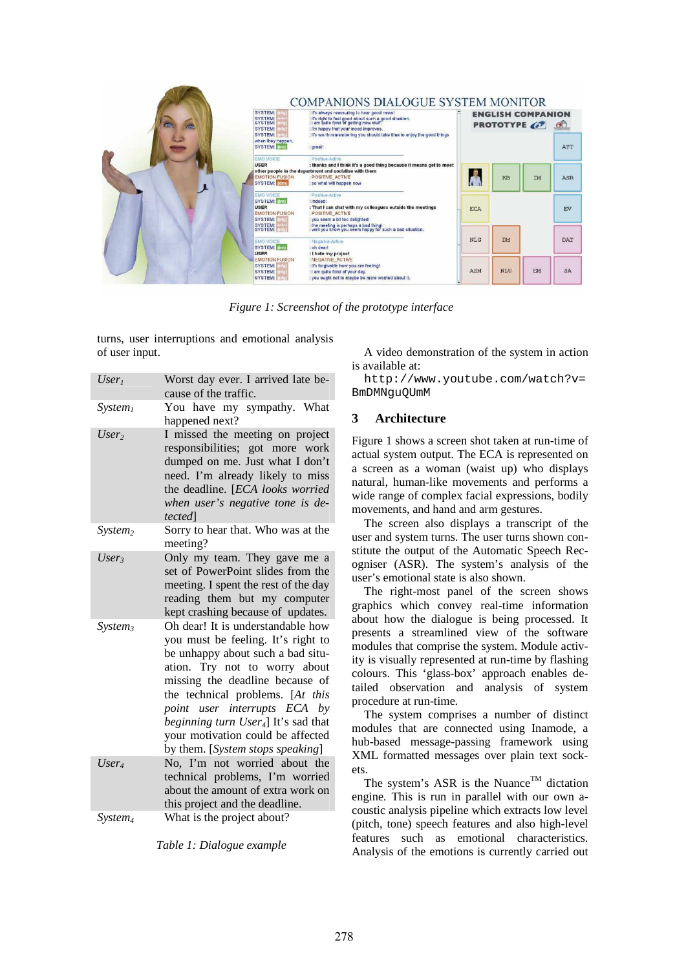| c. | COMPANIONS DIALOGUE SYSTEM MONITOR<br><b>SYSTEM:</b><br>: it's always reassuring to hear good news!<br>SYSTEM:<br>SYSTEM:<br>: it's right to feel good about such a good situation.<br>: I am quite fond of getting new stuff.<br><b>SYSTEM:</b><br>: I'm happy that your mood improves. |                                                                                                                                                                                                  |            | <b>ENGLISH COMPANION</b><br><b>PROTOTYPE</b><br>$\alpha$ |    |            |  |
|----|------------------------------------------------------------------------------------------------------------------------------------------------------------------------------------------------------------------------------------------------------------------------------------------|--------------------------------------------------------------------------------------------------------------------------------------------------------------------------------------------------|------------|----------------------------------------------------------|----|------------|--|
|    | <b>SYSTEM:</b><br>when they happen.<br>SYSTEM: (im)                                                                                                                                                                                                                                      | : it's worth remembering you should take time to enjoy the good things<br>: great!                                                                                                               |            |                                                          |    | ATT        |  |
|    | <b>EMO VOICE</b><br><b>USER</b><br><b>EMOTION FUSION</b><br>SYSTEM: [dml]                                                                                                                                                                                                                | Positive-Active<br>: thanks and I think it's a good thing because it means get to meet<br>other people in the department and socialise with them<br>POSITIVE ACTIVE<br>: so what will happen now |            | KB                                                       | IM | ASR        |  |
|    | <b>EMO VOICE</b><br>SYSTEM: [im]<br>USER<br><b>EMOTION FUSION</b><br>SYSTEM:<br><b>SYSTEM:</b>                                                                                                                                                                                           | Positive-Active<br>: indeed!<br>: That I can chat with my colleagues outside the meetings<br>POSITIVE ACTIVE<br>: you seem a bit too delighted!                                                  | <b>ECA</b> |                                                          | EV |            |  |
|    | SYSTEM:<br><b>EMO VOICE</b><br>SYSTEM: (im)<br><b>USER</b>                                                                                                                                                                                                                               | : the meeting is perhaps a bad thing!<br>: well you know you seem happy for such a bad situation.<br>Negative-Active<br>: oh dearl<br>: I hate my project                                        | <b>NLG</b> | DM                                                       |    | <b>DAT</b> |  |
|    | <b>EMOTION FUSION</b><br>SYSTEM:<br>SYSTEM:<br><b>SYSTEM:</b>                                                                                                                                                                                                                            | NEGATIVE ACTIVE<br>: it's forgivable how you are feeling!<br>: i am quite fond of your day.<br>: you ought not to maybe be more worried about it.                                                | ASM        | NLU                                                      | EM | <b>SA</b>  |  |

*Figure 1: Screenshot of the prototype interface* 

turns, user interruptions and emotional analysis of user input.

| $User_1$            | Worst day ever. I arrived late be-<br>cause of the traffic.                                                                                                                                                                                                                                                                                                                       |
|---------------------|-----------------------------------------------------------------------------------------------------------------------------------------------------------------------------------------------------------------------------------------------------------------------------------------------------------------------------------------------------------------------------------|
| System <sub>l</sub> | You have my sympathy. What<br>happened next?                                                                                                                                                                                                                                                                                                                                      |
| User <sub>2</sub>   | I missed the meeting on project<br>responsibilities; got more work<br>dumped on me. Just what I don't<br>need. I'm already likely to miss<br>the deadline. [ECA looks worried<br>when user's negative tone is de-<br><i>tected</i>                                                                                                                                                |
| System <sub>2</sub> | Sorry to hear that. Who was at the<br>meeting?                                                                                                                                                                                                                                                                                                                                    |
| User <sub>3</sub>   | Only my team. They gave me a<br>set of PowerPoint slides from the<br>meeting. I spent the rest of the day<br>reading them but my computer<br>kept crashing because of updates.                                                                                                                                                                                                    |
| System <sub>3</sub> | Oh dear! It is understandable how<br>you must be feeling. It's right to<br>be unhappy about such a bad situ-<br>ation. Try not to worry about<br>missing the deadline because of<br>the technical problems. [At this<br>point user interrupts ECA by<br>beginning turn User <sub>4</sub> ] It's sad that<br>your motivation could be affected<br>by them. [System stops speaking] |
| User <sub>4</sub>   | No, I'm not worried about the<br>technical problems, I'm worried<br>about the amount of extra work on<br>this project and the deadline.                                                                                                                                                                                                                                           |
| $System_4$          | What is the project about?                                                                                                                                                                                                                                                                                                                                                        |

*Table 1: Dialogue example* 

A video demonstration of the system in action is available at:

http://www.youtube.com/watch?v= BmDMNguQUmM

## **3 Architecture**

Figure 1 shows a screen shot taken at run-time of actual system output. The ECA is represented on a screen as a woman (waist up) who displays natural, human-like movements and performs a wide range of complex facial expressions, bodily movements, and hand and arm gestures.

The screen also displays a transcript of the user and system turns. The user turns shown constitute the output of the Automatic Speech Recogniser (ASR). The system's analysis of the user's emotional state is also shown.

The right-most panel of the screen shows graphics which convey real-time information about how the dialogue is being processed. It presents a streamlined view of the software modules that comprise the system. Module activity is visually represented at run-time by flashing colours. This 'glass-box' approach enables detailed observation and analysis of system procedure at run-time.

The system comprises a number of distinct modules that are connected using Inamode, a hub-based message-passing framework using XML formatted messages over plain text sockets.

The system's ASR is the Nuance<sup>TM</sup> dictation engine. This is run in parallel with our own acoustic analysis pipeline which extracts low level (pitch, tone) speech features and also high-level features such as emotional characteristics. Analysis of the emotions is currently carried out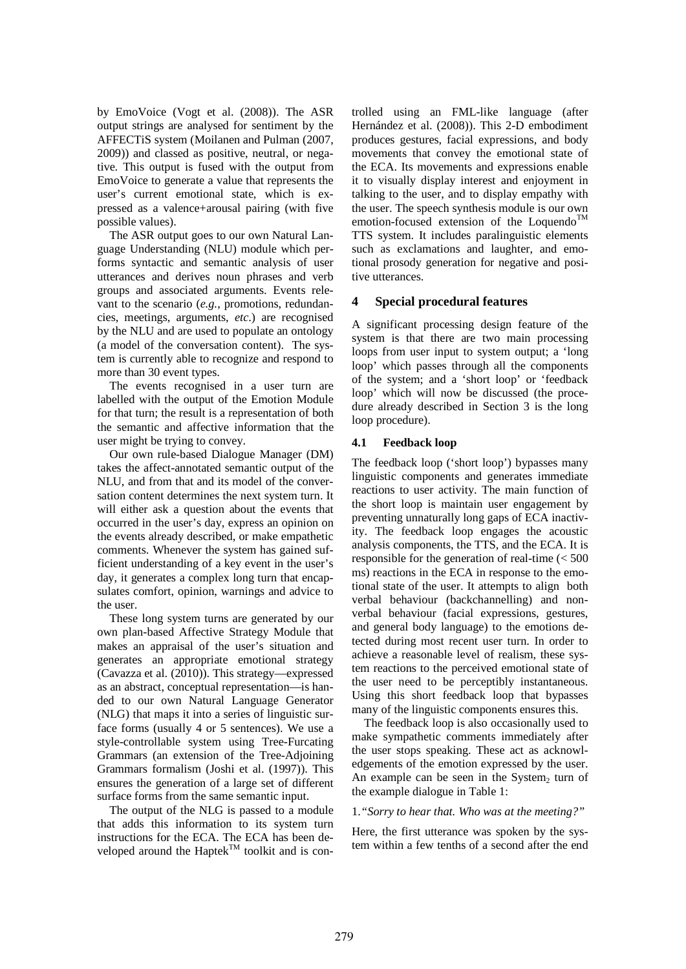by EmoVoice (Vogt et al. (2008)). The ASR output strings are analysed for sentiment by the AFFECTiS system (Moilanen and Pulman (2007, 2009)) and classed as positive, neutral, or negative. This output is fused with the output from EmoVoice to generate a value that represents the user's current emotional state, which is expressed as a valence+arousal pairing (with five possible values).

The ASR output goes to our own Natural Language Understanding (NLU) module which performs syntactic and semantic analysis of user utterances and derives noun phrases and verb groups and associated arguments. Events relevant to the scenario (*e.g.*, promotions, redundancies, meetings, arguments, *etc*.) are recognised by the NLU and are used to populate an ontology (a model of the conversation content). The system is currently able to recognize and respond to more than 30 event types.

The events recognised in a user turn are labelled with the output of the Emotion Module for that turn; the result is a representation of both the semantic and affective information that the user might be trying to convey.

Our own rule-based Dialogue Manager (DM) takes the affect-annotated semantic output of the NLU, and from that and its model of the conversation content determines the next system turn. It will either ask a question about the events that occurred in the user's day, express an opinion on the events already described, or make empathetic comments. Whenever the system has gained sufficient understanding of a key event in the user's day, it generates a complex long turn that encapsulates comfort, opinion, warnings and advice to the user.

These long system turns are generated by our own plan-based Affective Strategy Module that makes an appraisal of the user's situation and generates an appropriate emotional strategy (Cavazza et al. (2010)). This strategy—expressed as an abstract, conceptual representation—is handed to our own Natural Language Generator (NLG) that maps it into a series of linguistic surface forms (usually 4 or 5 sentences). We use a style-controllable system using Tree-Furcating Grammars (an extension of the Tree-Adjoining Grammars formalism (Joshi et al. (1997)). This ensures the generation of a large set of different surface forms from the same semantic input.

The output of the NLG is passed to a module that adds this information to its system turn instructions for the ECA. The ECA has been developed around the Haptek<sup>TM</sup> toolkit and is controlled using an FML-like language (after Hernández et al. (2008)). This 2-D embodiment produces gestures, facial expressions, and body movements that convey the emotional state of the ECA. Its movements and expressions enable it to visually display interest and enjoyment in talking to the user, and to display empathy with the user. The speech synthesis module is our own emotion-focused extension of the Loquendo<sup>TM</sup> TTS system. It includes paralinguistic elements such as exclamations and laughter, and emotional prosody generation for negative and positive utterances.

## **4 Special procedural features**

A significant processing design feature of the system is that there are two main processing loops from user input to system output; a 'long loop' which passes through all the components of the system; and a 'short loop' or 'feedback loop' which will now be discussed (the procedure already described in Section 3 is the long loop procedure).

## **4.1 Feedback loop**

The feedback loop ('short loop') bypasses many linguistic components and generates immediate reactions to user activity. The main function of the short loop is maintain user engagement by preventing unnaturally long gaps of ECA inactivity. The feedback loop engages the acoustic analysis components, the TTS, and the ECA. It is responsible for the generation of real-time (< 500 ms) reactions in the ECA in response to the emotional state of the user. It attempts to align both verbal behaviour (backchannelling) and nonverbal behaviour (facial expressions, gestures, and general body language) to the emotions detected during most recent user turn. In order to achieve a reasonable level of realism, these system reactions to the perceived emotional state of the user need to be perceptibly instantaneous. Using this short feedback loop that bypasses many of the linguistic components ensures this.

The feedback loop is also occasionally used to make sympathetic comments immediately after the user stops speaking. These act as acknowledgements of the emotion expressed by the user. An example can be seen in the System<sub>2</sub> turn of the example dialogue in Table 1:

#### 1.*"Sorry to hear that. Who was at the meeting?"*

Here, the first utterance was spoken by the system within a few tenths of a second after the end